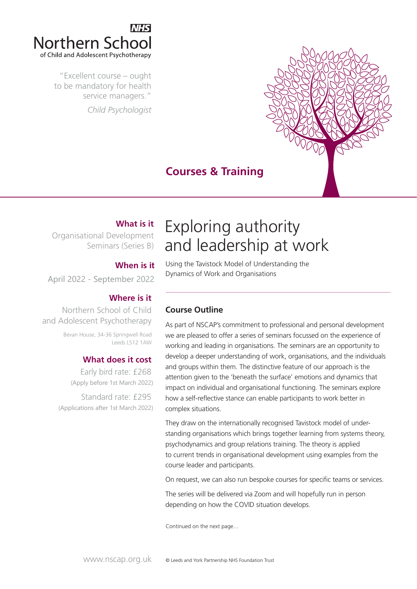

"Excellent course – ought to be mandatory for health service managers." *Child Psychologist*



# **Courses & Training**

### **What is it**

Organisational Development Seminars (Series B)

### **When is it**

April 2022 September 2022

### **Where is it**

Northern School of Child and Adolescent Psychotherapy

> Bevan House, 34-36 Springwell Road Leeds LS12 1AW

### **What does it cost**

Early bird rate: £268 (Apply before 1st March 2022) Standard rate: £295 (Applications after 1st March 2022)

# Exploring authority and leadership at work

Using the Tavistock Model of Understanding the Dynamics of Work and Organisations

## **Course Outline**

As part of NSCAP's commitment to professional and personal development we are pleased to offer a series of seminars focussed on the experience of working and leading in organisations. The seminars are an opportunity to develop a deeper understanding of work, organisations, and the individuals and groups within them. The distinctive feature of our approach is the attention given to the 'beneath the surface' emotions and dynamics that impact on individual and organisational functioning. The seminars explore how a self-reflective stance can enable participants to work better in complex situations.

They draw on the internationally recognised Tavistock model of understanding organisations which brings together learning from systems theory, psychodynamics and group relations training. The theory is applied to current trends in organisational development using examples from the course leader and participants.

On request, we can also run bespoke courses for specific teams or services.

The series will be delivered via Zoom and will hopefully run in person depending on how the COVID situation develops.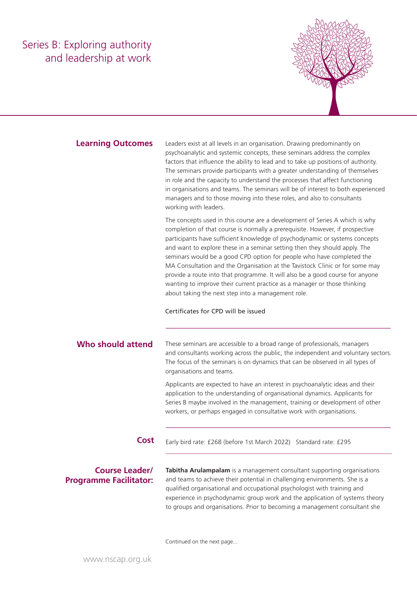# Series B: Exploring authority and leadership at work



#### **Learning Outcomes**

Leaders exist at all levels in an organisation. Drawing predominantly on psychoanalytic and systemic concepts, these seminars address the complex factors that influence the ability to lead and to take up positions of authority. The seminars provide participants with a greater understanding of themselves in role and the capacity to understand the processes that affect functioning in organisations and teams. The seminars will be of interest to both experienced managers and to those moving into these roles, and also to consultants working with leaders.

The concepts used in this course are a development of Series A which is why completion of that course is normally a prerequisite. However, if prospective participants have sufficient knowledge of psychodynamic or systems concepts and want to explore these in a seminar setting then they should apply. The seminars would be a good CPD option for people who have completed the MA Consultation and the Organisation at the Tavistock Clinic or for some may provide a route into that programme. It will also be a good course for anyone wanting to improve their current practice as a manager or those thinking about taking the next step into a management role.

#### Certificates for CPD will be issued

These seminars are accessible to a broad range of professionals, managers and consultants working across the public, the independent and voluntary sectors. The focus of the seminars is on dynamics that can be observed in all types of organisations and teams. **Who should attend**

> Applicants are expected to have an interest in psychoanalytic ideas and their application to the understanding of organisational dynamics. Applicants for Series B maybe involved in the management, training or development of other workers, or perhaps engaged in consultative work with organisations.

**Cost** Early bird rate: £268 (before 1st March 2022) Standard rate: £295

### **Course Leader/ Programme Facilitator:**

**Tabitha Arulampalam** is a management consultant supporting organisations and teams to achieve their potential in challenging environments. She is a qualified organisational and occupational psychologist with training and experience in psychodynamic group work and the application of systems theory to groups and organisations. Prior to becoming a management consultant she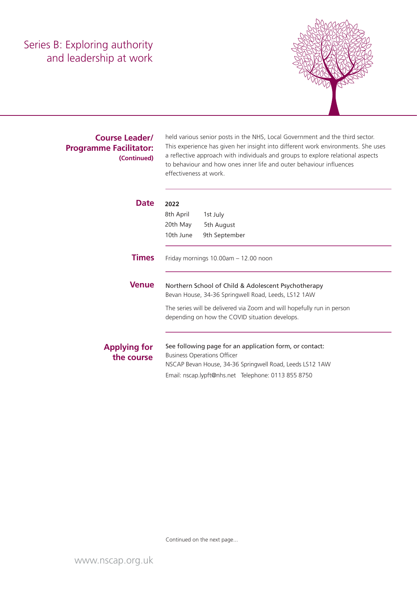# Series B: Exploring authority and leadership at work



### **Course Leader/ Programme Facilitator: (Continued)**

held various senior posts in the NHS, Local Government and the third sector. This experience has given her insight into different work environments. She uses a reflective approach with individuals and groups to explore relational aspects to behaviour and how ones inner life and outer behaviour influences effectiveness at work.

| Date                              | 2022                                                                                                                     |                                                         |  |  |  |
|-----------------------------------|--------------------------------------------------------------------------------------------------------------------------|---------------------------------------------------------|--|--|--|
|                                   | 8th April                                                                                                                | 1st July                                                |  |  |  |
|                                   | 20th May                                                                                                                 | 5th August                                              |  |  |  |
|                                   | 10th June                                                                                                                | 9th September                                           |  |  |  |
| <b>Times</b>                      | Friday mornings $10.00am - 12.00$ noon                                                                                   |                                                         |  |  |  |
| <b>Venue</b>                      | Northern School of Child & Adolescent Psychotherapy<br>Bevan House, 34-36 Springwell Road, Leeds, LS12 1AW               |                                                         |  |  |  |
|                                   | The series will be delivered via Zoom and will hopefully run in person<br>depending on how the COVID situation develops. |                                                         |  |  |  |
|                                   |                                                                                                                          | See following page for an application form, or contact: |  |  |  |
| <b>Applying for</b><br>the course |                                                                                                                          | <b>Business Operations Officer</b>                      |  |  |  |
|                                   | NSCAP Bevan House, 34-36 Springwell Road, Leeds LS12 1AW                                                                 |                                                         |  |  |  |
|                                   |                                                                                                                          | Email: nscap.lypft@nhs.net Telephone: 0113 855 8750     |  |  |  |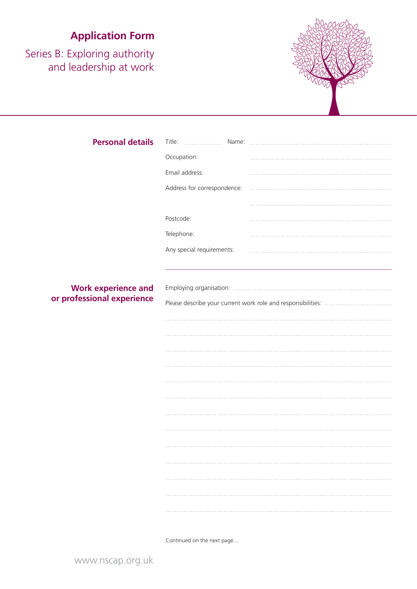# **Application Form**

Series B: Exploring authority and leadership at work



| <b>Personal details</b>    | Title:<br>Name:             |  |  |
|----------------------------|-----------------------------|--|--|
|                            | Occupation:                 |  |  |
|                            | Email address:              |  |  |
|                            | Address for correspondence: |  |  |
|                            |                             |  |  |
|                            | Postcode:                   |  |  |
|                            | Telephone:                  |  |  |
|                            | Any special requirements:   |  |  |
|                            |                             |  |  |
|                            |                             |  |  |
| <b>Work experience and</b> |                             |  |  |
| or professional experience |                             |  |  |
|                            |                             |  |  |
|                            |                             |  |  |
|                            |                             |  |  |
|                            |                             |  |  |
|                            |                             |  |  |
|                            |                             |  |  |
|                            |                             |  |  |
|                            |                             |  |  |
|                            |                             |  |  |
|                            |                             |  |  |
|                            |                             |  |  |
|                            |                             |  |  |
|                            |                             |  |  |
|                            |                             |  |  |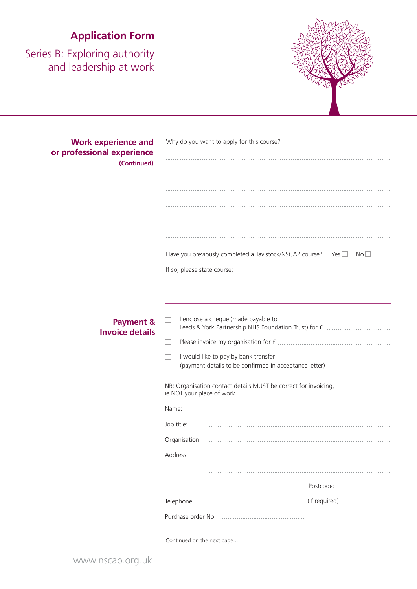# **Application Form**

Series B: Exploring authority and leadership at work



| <b>Work experience and</b><br>or professional experience<br>(Continued) |                                                                                                                                       |                                                                            |  |  |
|-------------------------------------------------------------------------|---------------------------------------------------------------------------------------------------------------------------------------|----------------------------------------------------------------------------|--|--|
|                                                                         |                                                                                                                                       | Have you previously completed a Tavistock/NSCAP course? Yes<br>$No$ $\Box$ |  |  |
| <b>Payment &amp;</b><br><b>Invoice details</b>                          | I enclose a cheque (made payable to<br>I would like to pay by bank transfer<br>(payment details to be confirmed in acceptance letter) |                                                                            |  |  |
|                                                                         | ie NOT your place of work.<br>Name:<br>Job title:<br>Organisation:<br>Address:                                                        | NB: Organisation contact details MUST be correct for invoicing,            |  |  |
|                                                                         | Telephone:                                                                                                                            | Postcode:                                                                  |  |  |